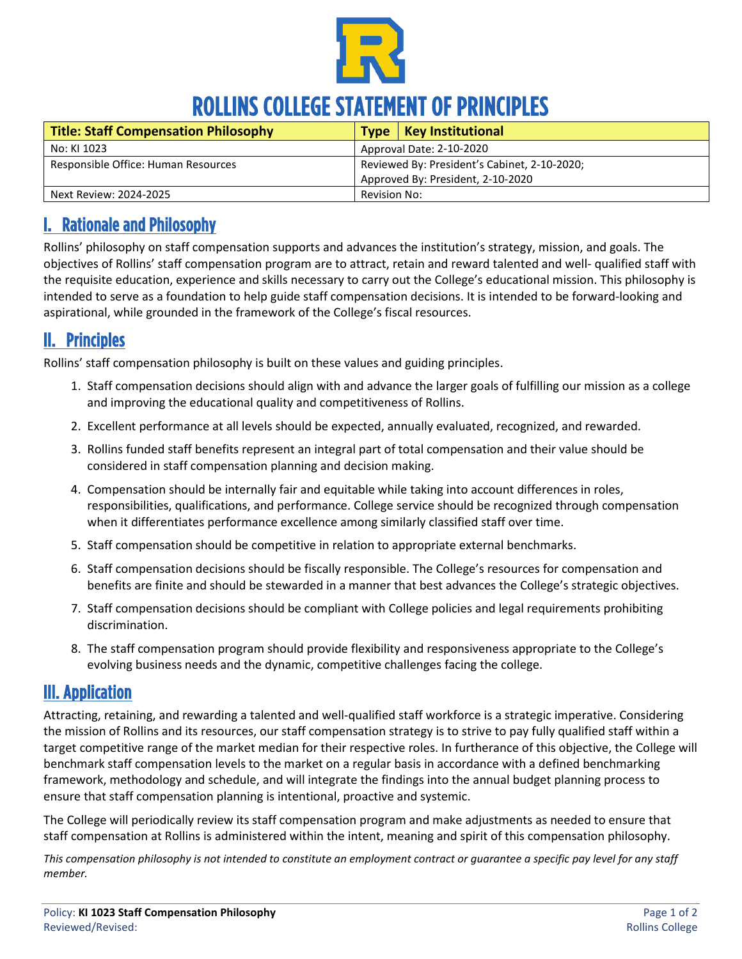

# ROLLINS COLLEGE STATEMENT OF PRINCIPLES

| <b>Title: Staff Compensation Philosophy</b> |                                              | Type   Key Institutional          |
|---------------------------------------------|----------------------------------------------|-----------------------------------|
| No: KI 1023                                 | Approval Date: 2-10-2020                     |                                   |
| Responsible Office: Human Resources         | Reviewed By: President's Cabinet, 2-10-2020; |                                   |
|                                             |                                              | Approved By: President, 2-10-2020 |
| Next Review: 2024-2025                      | Revision No:                                 |                                   |

#### I. Rationale and Philosophy

Rollins' philosophy on staff compensation supports and advances the institution's strategy, mission, and goals. The objectives of Rollins' staff compensation program are to attract, retain and reward talented and well- qualified staff with the requisite education, experience and skills necessary to carry out the College's educational mission. This philosophy is intended to serve as a foundation to help guide staff compensation decisions. It is intended to be forward-looking and aspirational, while grounded in the framework of the College's fiscal resources.

#### II. Principles

Rollins' staff compensation philosophy is built on these values and guiding principles.

- 1. Staff compensation decisions should align with and advance the larger goals of fulfilling our mission as a college and improving the educational quality and competitiveness of Rollins.
- 2. Excellent performance at all levels should be expected, annually evaluated, recognized, and rewarded.
- 3. Rollins funded staff benefits represent an integral part of total compensation and their value should be considered in staff compensation planning and decision making.
- 4. Compensation should be internally fair and equitable while taking into account differences in roles, responsibilities, qualifications, and performance. College service should be recognized through compensation when it differentiates performance excellence among similarly classified staff over time.
- 5. Staff compensation should be competitive in relation to appropriate external benchmarks.
- 6. Staff compensation decisions should be fiscally responsible. The College's resources for compensation and benefits are finite and should be stewarded in a manner that best advances the College's strategic objectives.
- 7. Staff compensation decisions should be compliant with College policies and legal requirements prohibiting discrimination.
- 8. The staff compensation program should provide flexibility and responsiveness appropriate to the College's evolving business needs and the dynamic, competitive challenges facing the college.

#### III. Application

Attracting, retaining, and rewarding a talented and well-qualified staff workforce is a strategic imperative. Considering the mission of Rollins and its resources, our staff compensation strategy is to strive to pay fully qualified staff within a target competitive range of the market median for their respective roles. In furtherance of this objective, the College will benchmark staff compensation levels to the market on a regular basis in accordance with a defined benchmarking framework, methodology and schedule, and will integrate the findings into the annual budget planning process to ensure that staff compensation planning is intentional, proactive and systemic.

The College will periodically review its staff compensation program and make adjustments as needed to ensure that staff compensation at Rollins is administered within the intent, meaning and spirit of this compensation philosophy.

*This compensation philosophy is not intended to constitute an employment contract or guarantee a specific pay level for any staff member.*